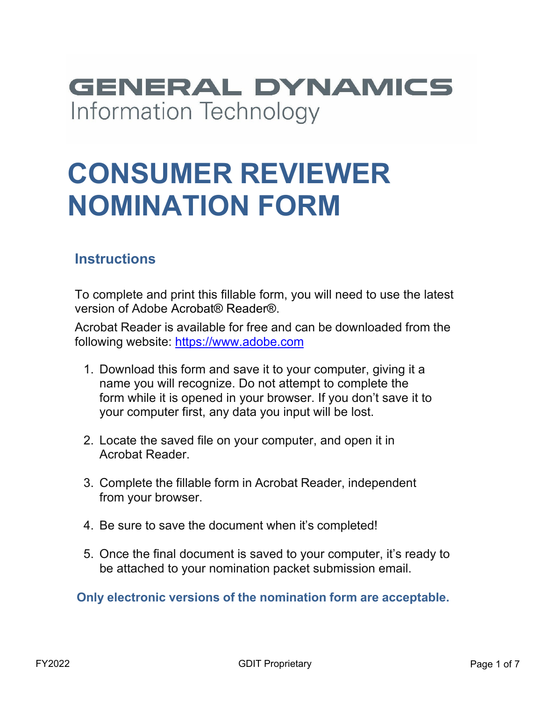## **GENERAL DYNAMICS** Information Technology

# **CONSUMER REVIEWER NOMINATION FORM**

#### **Instructions**

To complete and print this fillable form, you will need to use the latest version of Adobe Acrobat® Reader®.

Acrobat Reader is available for free and can be downloaded from the following website: [https://www.adobe.com](https://www.adobe.com/)

- 1. Download this form and save it to your computer, giving it a name you will recognize. Do not attempt to complete the form while it is opened in your browser. If you don't save it to your computer first, any data you input will be lost.
- 2. Locate the saved file on your computer, and open it in Acrobat Reader.
- 3. Complete the fillable form in Acrobat Reader, independent from your browser.
- 4. Be sure to save the document when it's completed!
- 5. Once the final document is saved to your computer, it's ready to be attached to your nomination packet submission email.

**Only electronic versions of the nomination form are acceptable.**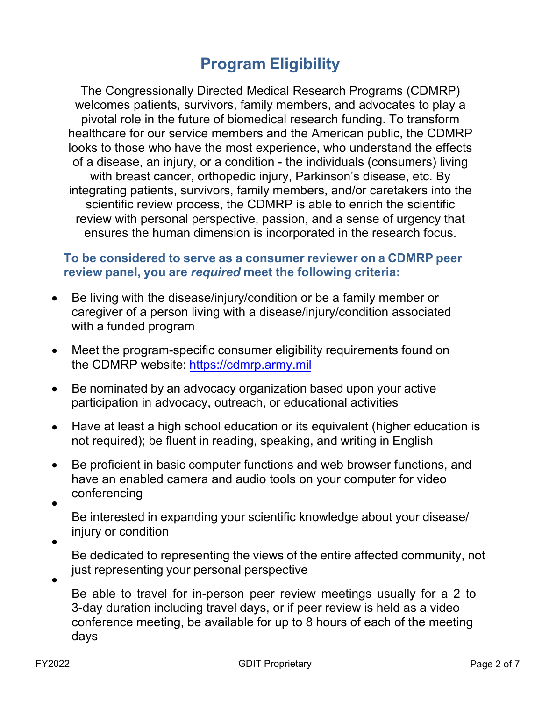#### **Program Eligibility**

The Congressionally Directed Medical Research Programs (CDMRP) welcomes patients, survivors, family members, and advocates to play a pivotal role in the future of biomedical research funding. To transform healthcare for our service members and the American public, the CDMRP looks to those who have the most experience, who understand the effects of a disease, an injury, or a condition - the individuals (consumers) living with breast cancer, orthopedic injury, Parkinson's disease, etc. By integrating patients, survivors, family members, and/or caretakers into the scientific review process, the CDMRP is able to enrich the scientific review with personal perspective, passion, and a sense of urgency that ensures the human dimension is incorporated in the research focus.

#### **To be considered to serve as a consumer reviewer on a CDMRP peer review panel, you are** *required* **meet the following criteria:**

- Be living with the disease/injury/condition or be a family member or caregiver of a person living with a disease/injury/condition associated with a funded program •
- Meet the program-specific consumer eligibility requirements found on the CDMRP website: [https://cdmrp.army.mil](https://cdmrp.army.mil/) •
- Be nominated by an advocacy organization based upon your active participation in advocacy, outreach, or educational activities  $\bullet$
- Have at least a high school education or its equivalent (higher education is not required); be fluent in reading, speaking, and writing in English  $\bullet$
- Be proficient in basic computer functions and web browser functions, and have an enabled camera and audio tools on your computer for video conferencing  $\bullet$ •

Be interested in expanding your scientific knowledge about your disease/ injury or condition

•

•

Be dedicated to representing the views of the entire affected community, not just representing your personal perspective

Be able to travel for in-person peer review meetings usually for a 2 to 3-day duration including travel days, or if peer review is held as a video conference meeting, be available for up to 8 hours of each of the meeting days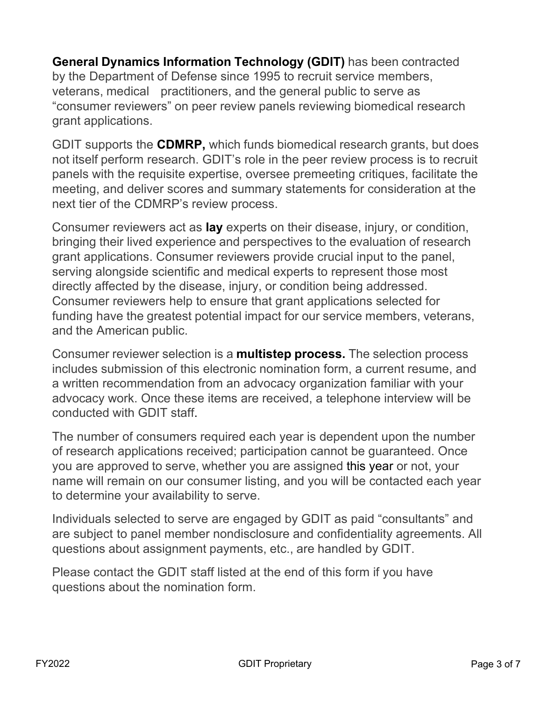**General Dynamics Information Technology (GDIT)** has been contracted by the Department of Defense since 1995 to recruit service members, veterans, medical practitioners, and the general public to serve as "consumer reviewers" on peer review panels reviewing biomedical research grant applications.

GDIT supports the **CDMRP,** which funds biomedical research grants, but does not itself perform research. GDIT's role in the peer review process is to recruit panels with the requisite expertise, oversee premeeting critiques, facilitate the meeting, and deliver scores and summary statements for consideration at the next tier of the CDMRP's review process.

Consumer reviewers act as **lay** experts on their disease, injury, or condition, bringing their lived experience and perspectives to the evaluation of research grant applications. Consumer reviewers provide crucial input to the panel, serving alongside scientific and medical experts to represent those most directly affected by the disease, injury, or condition being addressed. Consumer reviewers help to ensure that grant applications selected for funding have the greatest potential impact for our service members, veterans, and the American public.

Consumer reviewer selection is a **multistep process.** The selection process includes submission of this electronic nomination form, a current resume, and a written recommendation from an advocacy organization familiar with your advocacy work. Once these items are received, a telephone interview will be conducted with GDIT staff.

The number of consumers required each year is dependent upon the number of research applications received; participation cannot be guaranteed. Once you are approved to serve, whether you are assigned this year or not, your name will remain on our consumer listing, and you will be contacted each year to determine your availability to serve.

Individuals selected to serve are engaged by GDIT as paid "consultants" and are subject to panel member nondisclosure and confidentiality agreements. All questions about assignment payments, etc., are handled by GDIT.

Please contact the GDIT staff listed at the end of this form if you have questions about the nomination form.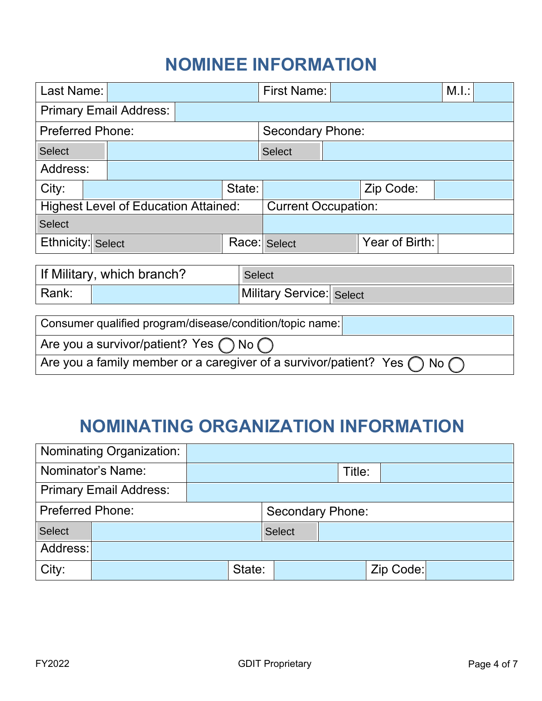## **NOMINEE INFORMATION**

| Last Name:                                                                          |               |  |  | <b>First Name:</b>              |  |                | M.I.: |  |  |  |
|-------------------------------------------------------------------------------------|---------------|--|--|---------------------------------|--|----------------|-------|--|--|--|
| <b>Primary Email Address:</b>                                                       |               |  |  |                                 |  |                |       |  |  |  |
| <b>Preferred Phone:</b>                                                             |               |  |  | <b>Secondary Phone:</b>         |  |                |       |  |  |  |
| <b>Select</b>                                                                       |               |  |  | <b>Select</b>                   |  |                |       |  |  |  |
| Address:                                                                            |               |  |  |                                 |  |                |       |  |  |  |
| City:                                                                               | State:        |  |  | Zip Code:                       |  |                |       |  |  |  |
| <b>Highest Level of Education Attained:</b>                                         |               |  |  | <b>Current Occupation:</b>      |  |                |       |  |  |  |
| <b>Select</b>                                                                       |               |  |  |                                 |  |                |       |  |  |  |
| Ethnicity: Select                                                                   |               |  |  | Race: Select                    |  | Year of Birth: |       |  |  |  |
|                                                                                     |               |  |  |                                 |  |                |       |  |  |  |
| If Military, which branch?                                                          | <b>Select</b> |  |  |                                 |  |                |       |  |  |  |
| Rank:                                                                               |               |  |  | <b>Military Service: Select</b> |  |                |       |  |  |  |
|                                                                                     |               |  |  |                                 |  |                |       |  |  |  |
| Consumer qualified program/disease/condition/topic name:                            |               |  |  |                                 |  |                |       |  |  |  |
| Are you a survivor/patient? Yes $\bigcap$ No $\bigcap$                              |               |  |  |                                 |  |                |       |  |  |  |
| Are you a family member or a caregiver of a survivor/patient? Yes (<br>No $\subset$ |               |  |  |                                 |  |                |       |  |  |  |
|                                                                                     |               |  |  |                                 |  |                |       |  |  |  |
|                                                                                     |               |  |  |                                 |  |                |       |  |  |  |
| <b>NOMINATING ORGANIZATION INFORMATION</b>                                          |               |  |  |                                 |  |                |       |  |  |  |
|                                                                                     |               |  |  |                                 |  |                |       |  |  |  |
| Nominating Organization:                                                            |               |  |  |                                 |  |                |       |  |  |  |
| Nominator's Name:                                                                   |               |  |  | Title:                          |  |                |       |  |  |  |
| <b>Primary Email Address:</b>                                                       |               |  |  |                                 |  |                |       |  |  |  |
| <b>Preferred Phone:</b>                                                             |               |  |  | <b>Secondary Phone:</b>         |  |                |       |  |  |  |
| <b>Select</b>                                                                       |               |  |  | <b>Select</b>                   |  |                |       |  |  |  |

#### **NOMINATING ORGANIZATION INFORMATION**

| Nominating Organization:      |                         |  |        |               |        |  |           |  |  |
|-------------------------------|-------------------------|--|--------|---------------|--------|--|-----------|--|--|
| Nominator's Name:             |                         |  |        |               | Title: |  |           |  |  |
| <b>Primary Email Address:</b> |                         |  |        |               |        |  |           |  |  |
| <b>Preferred Phone:</b>       | <b>Secondary Phone:</b> |  |        |               |        |  |           |  |  |
| <b>Select</b>                 |                         |  |        | <b>Select</b> |        |  |           |  |  |
| Address:                      |                         |  |        |               |        |  |           |  |  |
| City:                         |                         |  | State: |               |        |  | Zip Code: |  |  |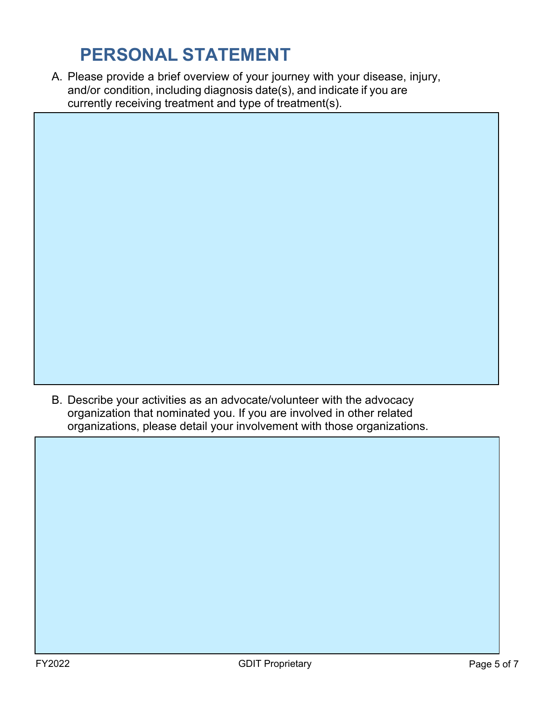## **PERSONAL STATEMENT**

Please provide a brief overview of your journey with your disease, injury, A. and/or condition, including diagnosis date(s), and indicate if you are currently receiving treatment and type of treatment(s).

B. Describe your activities as an advocate/volunteer with the advocacy organization that nominated you. If you are involved in other related organizations, please detail your involvement with those organizations.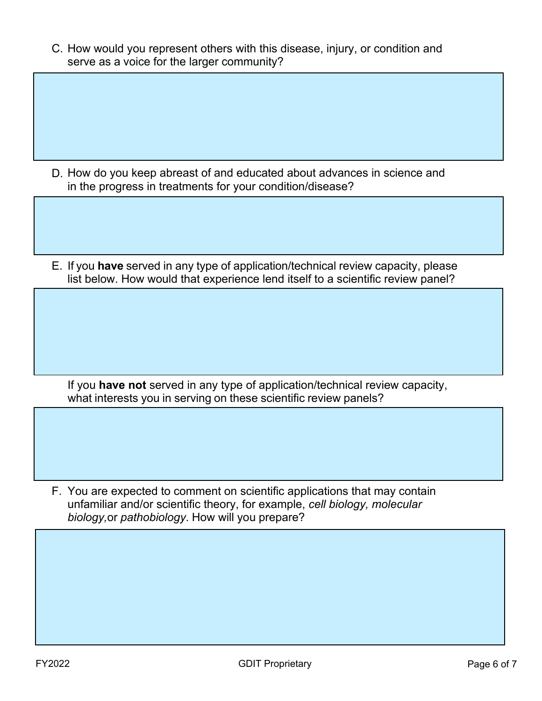C. How would you represent others with this disease, injury, or condition and serve as a voice for the larger community?

- D. How do you keep abreast of and educated about advances in science and in the progress in treatments for your condition/disease?
- E. If you **have** served in any type of application/technical review capacity, please list below. How would that experience lend itself to a scientific review panel?

If you **have not** served in any type of application/technical review capacity, what interests you in serving on these scientific review panels?

F. You are expected to comment on scientific applications that may contain unfamiliar and/or scientific theory, for example, *cell biology, molecular biology,*or *pathobiology*. How will you prepare?